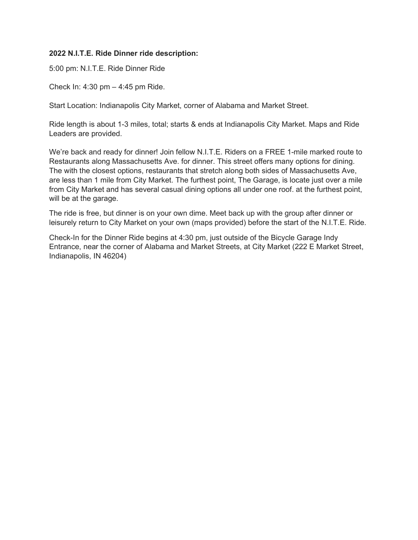## 2022 N.I.T.E. Ride Dinner ride description:

5:00 pm: N.I.T.E. Ride Dinner Ride

Check In: 4:30 pm – 4:45 pm Ride.

Start Location: Indianapolis City Market, corner of Alabama and Market Street.

Ride length is about 1-3 miles, total; starts & ends at Indianapolis City Market. Maps and Ride Leaders are provided.

We're back and ready for dinner! Join fellow N.I.T.E. Riders on a FREE 1-mile marked route to Restaurants along Massachusetts Ave. for dinner. This street offers many options for dining. The with the closest options, restaurants that stretch along both sides of Massachusetts Ave, are less than 1 mile from City Market. The furthest point, The Garage, is locate just over a mile from City Market and has several casual dining options all under one roof. at the furthest point, will be at the garage.

The ride is free, but dinner is on your own dime. Meet back up with the group after dinner or leisurely return to City Market on your own (maps provided) before the start of the N.I.T.E. Ride.

Check-In for the Dinner Ride begins at 4:30 pm, just outside of the Bicycle Garage Indy Entrance, near the corner of Alabama and Market Streets, at City Market (222 E Market Street, Indianapolis, IN 46204)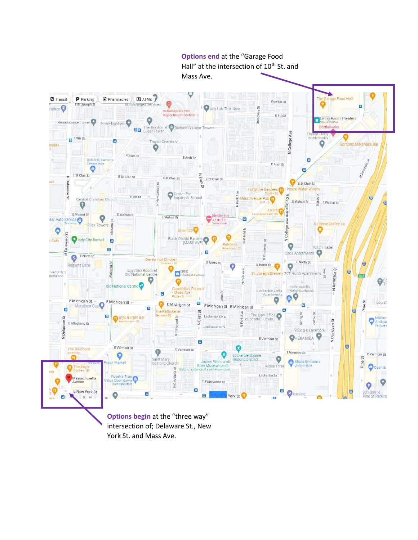

Options begin at the "three way" intersection of; Delaware St., New York St. and Mass Ave.